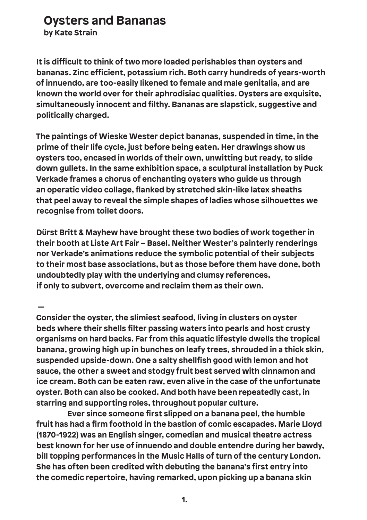## **Oysters and Bananas**

**by Kate Strain**

**It is difficult to think of two more loaded perishables than oysters and bananas. Zinc efficient, potassium rich. Both carry hundreds of years-worth of innuendo, are too-easily likened to female and male genitalia, and are known the world over for their aphrodisiac qualities. Oysters are exquisite, simultaneously innocent and filthy. Bananas are slapstick, suggestive and politically charged.** 

**The paintings of Wieske Wester depict bananas, suspended in time, in the prime of their life cycle, just before being eaten. Her drawings show us oysters too, encased in worlds of their own, unwitting but ready, to slide down gullets. In the same exhibition space, a sculptural installation by Puck Verkade frames a chorus of enchanting oysters who guide us through an operatic video collage, flanked by stretched skin-like latex sheaths that peel away to reveal the simple shapes of ladies whose silhouettes we recognise from toilet doors.**

**Dürst Britt & Mayhew have brought these two bodies of work together in their booth at Liste Art Fair – Basel. Neither Wester's painterly renderings nor Verkade's animations reduce the symbolic potential of their subjects to their most base associations, but as those before them have done, both undoubtedly play with the underlying and clumsy references, if only to subvert, overcome and reclaim them as their own.**

 **— Consider the oyster, the slimiest seafood, living in clusters on oyster beds where their shells filter passing waters into pearls and host crusty organisms on hard backs. Far from this aquatic lifestyle dwells the tropical banana, growing high up in bunches on leafy trees, shrouded in a thick skin, suspended upside-down. One a salty shellfish good with lemon and hot sauce, the other a sweet and stodgy fruit best served with cinnamon and ice cream. Both can be eaten raw, even alive in the case of the unfortunate oyster. Both can also be cooked. And both have been repeatedly cast, in starring and supporting roles, throughout popular culture.**

 **Ever since someone first slipped on a banana peel, the humble fruit has had a firm foothold in the bastion of comic escapades. Marie Lloyd (1870-1922) was an English singer, comedian and musical theatre actress best known for her use of innuendo and double entendre during her bawdy, bill topping performances in the Music Halls of turn of the century London. She has often been credited with debuting the banana's first entry into the comedic repertoire, having remarked, upon picking up a banana skin**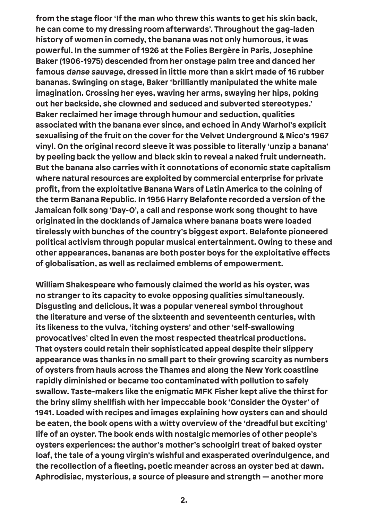**from the stage floor 'If the man who threw this wants to get his skin back, he can come to my dressing room afterwards'. Throughout the gag-laden history of women in comedy, the banana was not only humorous, it was powerful. In the summer of 1926 at the Folies Bergère in Paris, Josephine Baker (1906-1975) descended from her onstage palm tree and danced her famous danse sauvage, dressed in little more than a skirt made of 16 rubber bananas. Swinging on stage, Baker 'brilliantly manipulated the white male imagination. Crossing her eyes, waving her arms, swaying her hips, poking out her backside, she clowned and seduced and subverted stereotypes.' Baker reclaimed her image through humour and seduction, qualities associated with the banana ever since, and echoed in Andy Warhol's explicit sexualising of the fruit on the cover for the Velvet Underground & Nico's 1967 vinyl. On the original record sleeve it was possible to literally 'unzip a banana' by peeling back the yellow and black skin to reveal a naked fruit underneath. But the banana also carries with it connotations of economic state capitalism where natural resources are exploited by commercial enterprise for private profit, from the exploitative Banana Wars of Latin America to the coining of the term Banana Republic. In 1956 Harry Belafonte recorded a version of the Jamaican folk song 'Day-O', a call and response work song thought to have originated in the docklands of Jamaica where banana boats were loaded tirelessly with bunches of the country's biggest export. Belafonte pioneered political activism through popular musical entertainment. Owing to these and other appearances, bananas are both poster boys for the exploitative effects of globalisation, as well as reclaimed emblems of empowerment.**

**William Shakespeare who famously claimed the world as his oyster, was no stranger to its capacity to evoke opposing qualities simultaneously. Disgusting and delicious, it was a popular venereal symbol throughout the literature and verse of the sixteenth and seventeenth centuries, with its likeness to the vulva, 'itching oysters' and other 'self-swallowing provocatives' cited in even the most respected theatrical productions. That oysters could retain their sophisticated appeal despite their slippery appearance was thanks in no small part to their growing scarcity as numbers of oysters from hauls across the Thames and along the New York coastline rapidly diminished or became too contaminated with pollution to safely swallow. Taste-makers like the enigmatic MFK Fisher kept alive the thirst for the briny slimy shellfish with her impeccable book 'Consider the Oyster' of 1941. Loaded with recipes and images explaining how oysters can and should be eaten, the book opens with a witty overview of the 'dreadful but exciting' life of an oyster. The book ends with nostalgic memories of other people's oysters experiences: the author's mother's schoolgirl treat of baked oyster loaf, the tale of a young virgin's wishful and exasperated overindulgence, and the recollection of a fleeting, poetic meander across an oyster bed at dawn. Aphrodisiac, mysterious, a source of pleasure and strength — another more**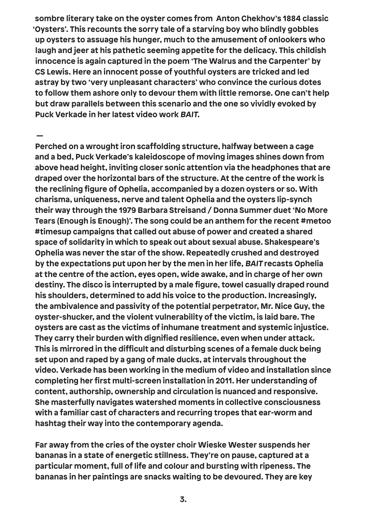**sombre literary take on the oyster comes from Anton Chekhov's 1884 classic 'Oysters'. This recounts the sorry tale of a starving boy who blindly gobbles up oysters to assuage his hunger, much to the amusement of onlookers who laugh and jeer at his pathetic seeming appetite for the delicacy. This childish innocence is again captured in the poem 'The Walrus and the Carpenter' by CS Lewis. Here an innocent posse of youthful oysters are tricked and led astray by two 'very unpleasant characters' who convince the curious dotes to follow them ashore only to devour them with little remorse. One can't help but draw parallels between this scenario and the one so vividly evoked by Puck Verkade in her latest video work BAIT.**

 **— Perched on a wrought iron scaffolding structure, halfway between a cage and a bed, Puck Verkade's kaleidoscope of moving images shines down from above head height, inviting closer sonic attention via the headphones that are draped over the horizontal bars of the structure. At the centre of the work is the reclining figure of Ophelia, accompanied by a dozen oysters or so. With charisma, uniqueness, nerve and talent Ophelia and the oysters lip-synch their way through the 1979 Barbara Streisand / Donna Summer duet 'No More Tears (Enough is Enough)'. The song could be an anthem for the recent #metoo #timesup campaigns that called out abuse of power and created a shared space of solidarity in which to speak out about sexual abuse. Shakespeare's Ophelia was never the star of the show. Repeatedly crushed and destroyed by the expectations put upon her by the men in her life, BAIT recasts Ophelia at the centre of the action, eyes open, wide awake, and in charge of her own destiny. The disco is interrupted by a male figure, towel casually draped round his shoulders, determined to add his voice to the production. Increasingly, the ambivalence and passivity of the potential perpetrator, Mr. Nice Guy, the oyster-shucker, and the violent vulnerability of the victim, is laid bare. The oysters are cast as the victims of inhumane treatment and systemic injustice. They carry their burden with dignified resilience, even when under attack. This is mirrored in the difficult and disturbing scenes of a female duck being set upon and raped by a gang of male ducks, at intervals throughout the video. Verkade has been working in the medium of video and installation since completing her first multi-screen installation in 2011. Her understanding of content, authorship, ownership and circulation is nuanced and responsive. She masterfully navigates watershed moments in collective consciousness with a familiar cast of characters and recurring tropes that ear-worm and hashtag their way into the contemporary agenda.** 

**Far away from the cries of the oyster choir Wieske Wester suspends her bananas in a state of energetic stillness. They're on pause, captured at a particular moment, full of life and colour and bursting with ripeness. The bananas in her paintings are snacks waiting to be devoured. They are key**